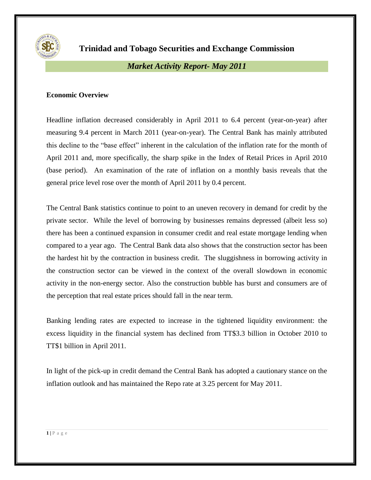

**Trinidad and Tobago Securities and Exchange Commission**

# *Market Activity Report- May 2011*

## **Economic Overview**

Headline inflation decreased considerably in April 2011 to 6.4 percent (year-on-year) after measuring 9.4 percent in March 2011 (year-on-year). The Central Bank has mainly attributed this decline to the "base effect" inherent in the calculation of the inflation rate for the month of April 2011 and, more specifically, the sharp spike in the Index of Retail Prices in April 2010 (base period). An examination of the rate of inflation on a monthly basis reveals that the general price level rose over the month of April 2011 by 0.4 percent.

The Central Bank statistics continue to point to an uneven recovery in demand for credit by the private sector. While the level of borrowing by businesses remains depressed (albeit less so) there has been a continued expansion in consumer credit and real estate mortgage lending when compared to a year ago. The Central Bank data also shows that the construction sector has been the hardest hit by the contraction in business credit. The sluggishness in borrowing activity in the construction sector can be viewed in the context of the overall slowdown in economic activity in the non-energy sector. Also the construction bubble has burst and consumers are of the perception that real estate prices should fall in the near term.

Banking lending rates are expected to increase in the tightened liquidity environment: the excess liquidity in the financial system has declined from TT\$3.3 billion in October 2010 to TT\$1 billion in April 2011.

In light of the pick-up in credit demand the Central Bank has adopted a cautionary stance on the inflation outlook and has maintained the Repo rate at 3.25 percent for May 2011.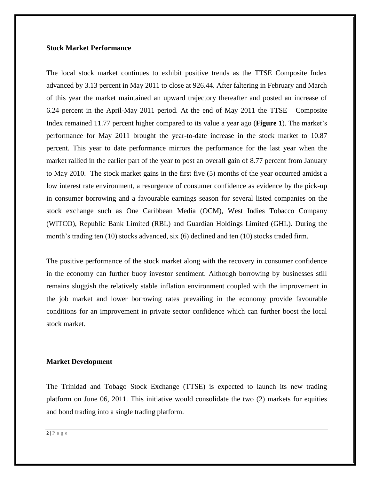#### **Stock Market Performance**

The local stock market continues to exhibit positive trends as the TTSE Composite Index advanced by 3.13 percent in May 2011 to close at 926.44. After faltering in February and March of this year the market maintained an upward trajectory thereafter and posted an increase of 6.24 percent in the April-May 2011 period. At the end of May 2011 the TTSE Composite Index remained 11.77 percent higher compared to its value a year ago (**Figure 1**). The market's performance for May 2011 brought the year-to-date increase in the stock market to 10.87 percent. This year to date performance mirrors the performance for the last year when the market rallied in the earlier part of the year to post an overall gain of 8.77 percent from January to May 2010. The stock market gains in the first five (5) months of the year occurred amidst a low interest rate environment, a resurgence of consumer confidence as evidence by the pick-up in consumer borrowing and a favourable earnings season for several listed companies on the stock exchange such as One Caribbean Media (OCM), West Indies Tobacco Company (WITCO), Republic Bank Limited (RBL) and Guardian Holdings Limited (GHL). During the month's trading ten (10) stocks advanced, six (6) declined and ten (10) stocks traded firm.

The positive performance of the stock market along with the recovery in consumer confidence in the economy can further buoy investor sentiment. Although borrowing by businesses still remains sluggish the relatively stable inflation environment coupled with the improvement in the job market and lower borrowing rates prevailing in the economy provide favourable conditions for an improvement in private sector confidence which can further boost the local stock market.

#### **Market Development**

The Trinidad and Tobago Stock Exchange (TTSE) is expected to launch its new trading platform on June 06, 2011. This initiative would consolidate the two (2) markets for equities and bond trading into a single trading platform.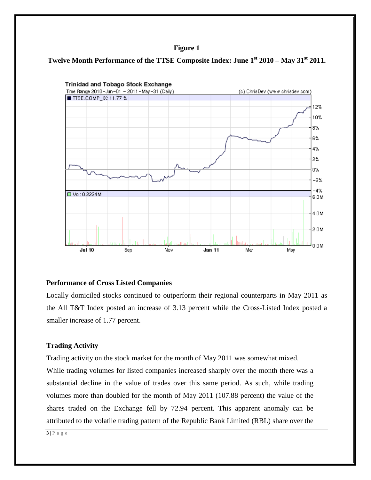#### **Figure 1**





#### **Performance of Cross Listed Companies**

Locally domiciled stocks continued to outperform their regional counterparts in May 2011 as the All T&T Index posted an increase of 3.13 percent while the Cross-Listed Index posted a smaller increase of 1.77 percent.

#### **Trading Activity**

Trading activity on the stock market for the month of May 2011 was somewhat mixed. While trading volumes for listed companies increased sharply over the month there was a substantial decline in the value of trades over this same period. As such, while trading volumes more than doubled for the month of May 2011 (107.88 percent) the value of the shares traded on the Exchange fell by 72.94 percent. This apparent anomaly can be attributed to the volatile trading pattern of the Republic Bank Limited (RBL) share over the

**3 |** P a g e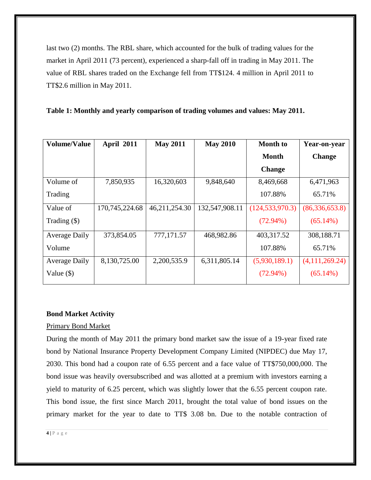last two (2) months. The RBL share, which accounted for the bulk of trading values for the market in April 2011 (73 percent), experienced a sharp-fall off in trading in May 2011. The value of RBL shares traded on the Exchange fell from TT\$124. 4 million in April 2011 to TT\$2.6 million in May 2011.

**Table 1: Monthly and yearly comparison of trading volumes and values: May 2011.**

| <b>Volume/Value</b>  | <b>April 2011</b> | <b>May 2011</b> | <b>May 2010</b> | <b>Month</b> to   | Year-on-year     |
|----------------------|-------------------|-----------------|-----------------|-------------------|------------------|
|                      |                   |                 |                 | <b>Month</b>      | <b>Change</b>    |
|                      |                   |                 |                 | <b>Change</b>     |                  |
| Volume of            | 7,850,935         | 16,320,603      | 9,848,640       | 8,469,668         | 6,471,963        |
| Trading              |                   |                 |                 | 107.88%           | 65.71%           |
| Value of             | 170,745,224.68    | 46,211,254.30   | 132,547,908.11  | (124, 533, 970.3) | (86, 336, 653.8) |
| Trading $(\$)$       |                   |                 |                 | $(72.94\%)$       | $(65.14\%)$      |
| Average Daily        | 373,854.05        | 777,171.57      | 468,982.86      | 403,317.52        | 308,188.71       |
| Volume               |                   |                 |                 | 107.88%           | 65.71%           |
| <b>Average Daily</b> | 8,130,725.00      | 2,200,535.9     | 6,311,805.14    | (5,930,189.1)     | (4,111,269.24)   |
| Value $(\$)$         |                   |                 |                 | $(72.94\%)$       | $(65.14\%)$      |

## **Bond Market Activity**

### Primary Bond Market

During the month of May 2011 the primary bond market saw the issue of a 19-year fixed rate bond by National Insurance Property Development Company Limited (NIPDEC) due May 17, 2030. This bond had a coupon rate of 6.55 percent and a face value of TT\$750,000,000. The bond issue was heavily oversubscribed and was allotted at a premium with investors earning a yield to maturity of 6.25 percent, which was slightly lower that the 6.55 percent coupon rate. This bond issue, the first since March 2011, brought the total value of bond issues on the primary market for the year to date to TT\$ 3.08 bn. Due to the notable contraction of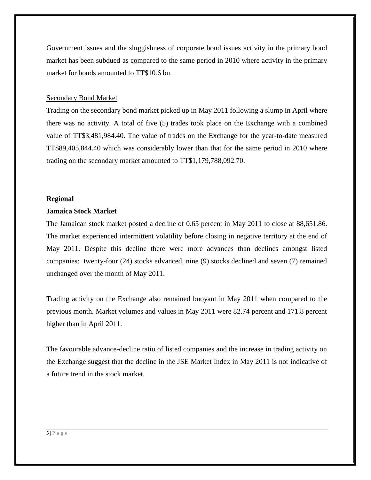Government issues and the sluggishness of corporate bond issues activity in the primary bond market has been subdued as compared to the same period in 2010 where activity in the primary market for bonds amounted to TT\$10.6 bn.

#### Secondary Bond Market

Trading on the secondary bond market picked up in May 2011 following a slump in April where there was no activity. A total of five (5) trades took place on the Exchange with a combined value of TT\$3,481,984.40. The value of trades on the Exchange for the year-to-date measured TT\$89,405,844.40 which was considerably lower than that for the same period in 2010 where trading on the secondary market amounted to TT\$1,179,788,092.70.

#### **Regional**

#### **Jamaica Stock Market**

The Jamaican stock market posted a decline of 0.65 percent in May 2011 to close at 88,651.86. The market experienced intermittent volatility before closing in negative territory at the end of May 2011. Despite this decline there were more advances than declines amongst listed companies: twenty-four (24) stocks advanced, nine (9) stocks declined and seven (7) remained unchanged over the month of May 2011.

Trading activity on the Exchange also remained buoyant in May 2011 when compared to the previous month. Market volumes and values in May 2011 were 82.74 percent and 171.8 percent higher than in April 2011.

The favourable advance-decline ratio of listed companies and the increase in trading activity on the Exchange suggest that the decline in the JSE Market Index in May 2011 is not indicative of a future trend in the stock market.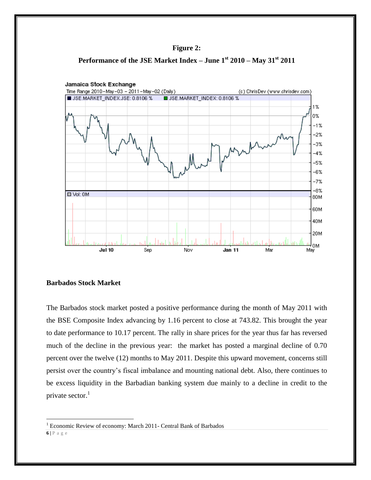





## **Barbados Stock Market**

 $\overline{a}$ 

The Barbados stock market posted a positive performance during the month of May 2011 with the BSE Composite Index advancing by 1.16 percent to close at 743.82. This brought the year to date performance to 10.17 percent. The rally in share prices for the year thus far has reversed much of the decline in the previous year: the market has posted a marginal decline of 0.70 percent over the twelve (12) months to May 2011. Despite this upward movement, concerns still persist over the country's fiscal imbalance and mounting national debt. Also, there continues to be excess liquidity in the Barbadian banking system due mainly to a decline in credit to the private sector.<sup>1</sup>

**<sup>6</sup> |** P a g e <sup>1</sup> Economic Review of economy: March 2011- Central Bank of Barbados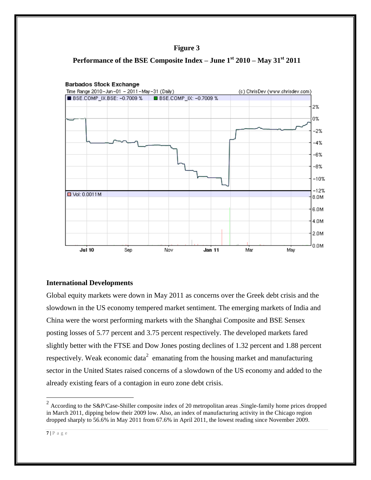





## **International Developments**

Global equity markets were down in May 2011 as concerns over the Greek debt crisis and the slowdown in the US economy tempered market sentiment. The emerging markets of India and China were the worst performing markets with the Shanghai Composite and BSE Sensex posting losses of 5.77 percent and 3.75 percent respectively. The developed markets fared slightly better with the FTSE and Dow Jones posting declines of 1.32 percent and 1.88 percent respectively. Weak economic data<sup>2</sup> emanating from the housing market and manufacturing sector in the United States raised concerns of a slowdown of the US economy and added to the already existing fears of a contagion in euro zone debt crisis.

<sup>&</sup>lt;sup>2</sup> According to the S&P/Case-Shiller composite index of 20 metropolitan areas .Single-family home prices dropped in March 2011, dipping below their 2009 low. Also, an index of manufacturing activity in the Chicago region dropped sharply to 56.6% in May 2011 from 67.6% in April 2011, the lowest reading since November 2009.